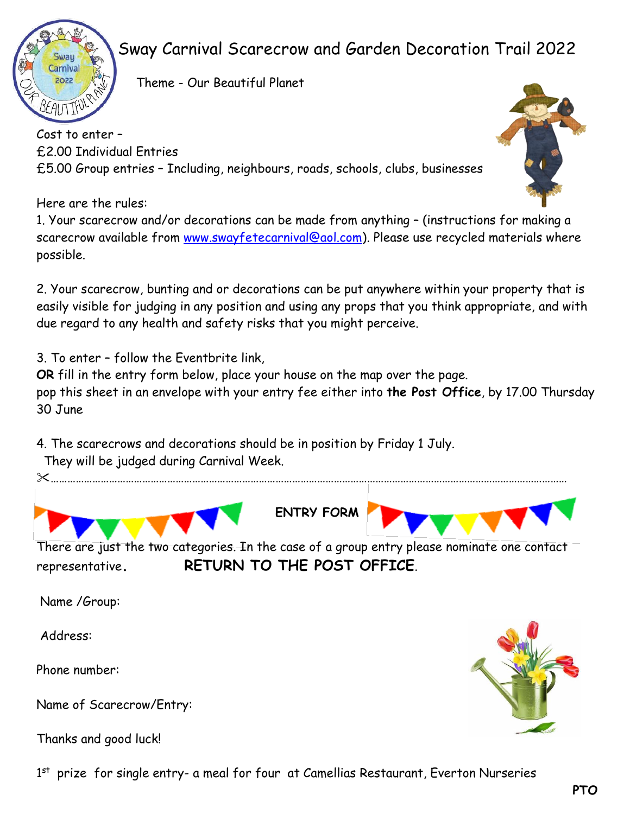

## Sway Carnival Scarecrow and Garden Decoration Trail 2022

 $2022$   $\sqrt{V}$  Theme - Our Beautiful Planet

Cost to enter – £2.00 Individual Entries £5.00 Group entries – Including, neighbours, roads, schools, clubs, businesses

Here are the rules:

1. Your scarecrow and/or decorations can be made from anything – (instructions for making a scarecrow available from [www.swayfetecarnival@aol.com\)](about:blank). Please use recycled materials where possible.

2. Your scarecrow, bunting and or decorations can be put anywhere within your property that is easily visible for judging in any position and using any props that you think appropriate, and with due regard to any health and safety risks that you might perceive.

3. To enter – follow the Eventbrite link,

**OR** fill in the entry form below, place your house on the map over the page. pop this sheet in an envelope with your entry fee either into **the Post Office**, by 17.00 Thursday 30 June

4. The scarecrows and decorations should be in position by Friday 1 July. They will be judged during Carnival Week.

……………………………………………………………………………………………………………………………………………………………………



**ENTRY FORM**

There are just the two categories. In the case of a group entry please nominate one contact representative**. RETURN TO THE POST OFFICE**.

Name /Group:

Address:

Phone number:

Name of Scarecrow/Entry:

Thanks and good luck!



1<sup>st</sup> prize for single entry- a meal for four at Camellias Restaurant, Everton Nurseries

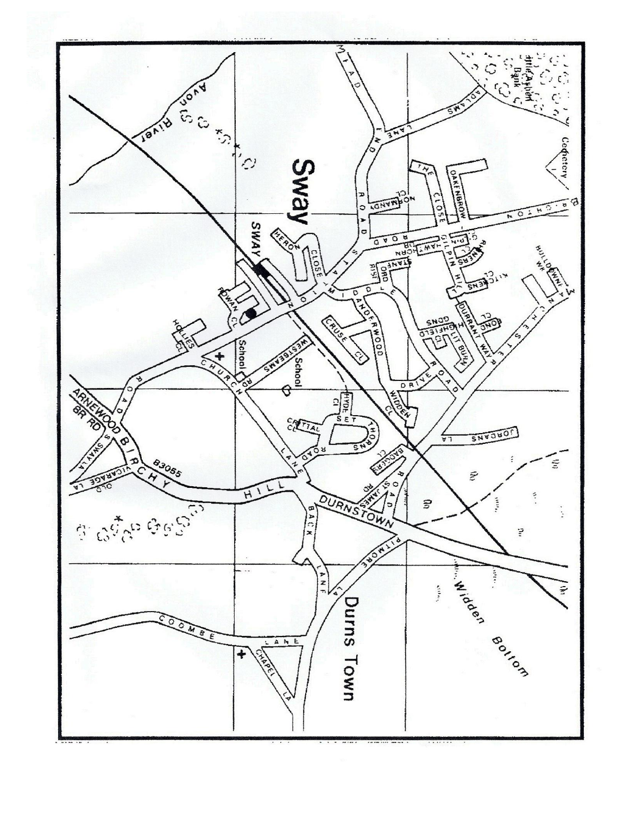